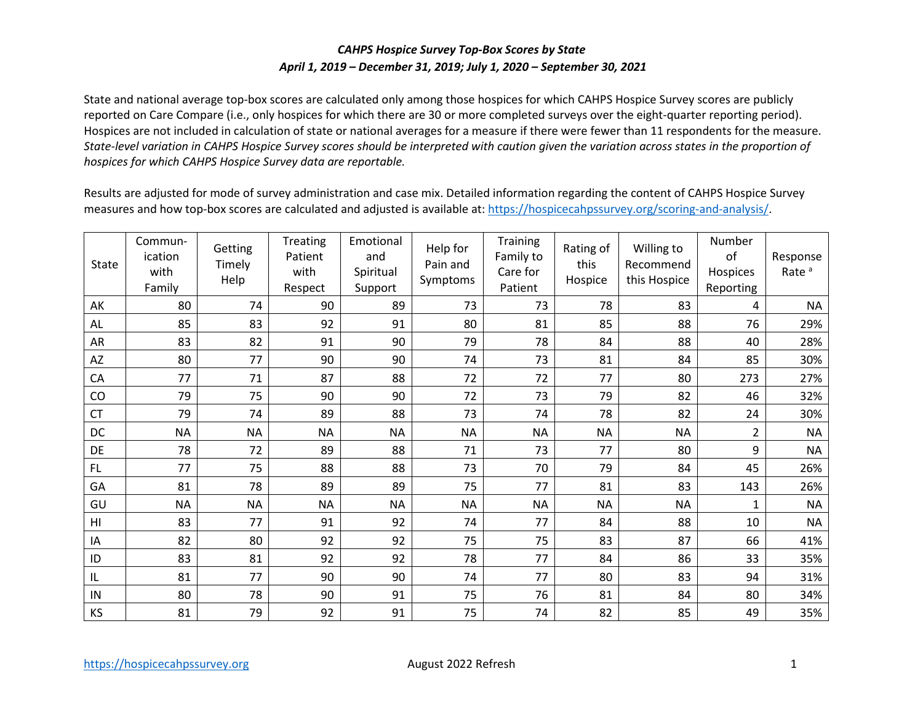## *CAHPS Hospice Survey Top-Box Scores by State April 1, 2019 – December 31, 2019; July 1, 2020 – September 30, 2021*

 State and national average top-box scores are calculated only among those hospices for which CAHPS Hospice Survey scores are publicly reported on Care Compare (i.e., only hospices for which there are 30 or more completed surveys over the eight-quarter reporting period). Hospices are not included in calculation of state or national averages for a measure if there were fewer than 11 respondents for the measure. *State-level variation in CAHPS Hospice Survey scores should be interpreted with caution given the variation across states in the proportion of hospices for which CAHPS Hospice Survey data are reportable.* 

 Results are adjusted for mode of survey administration and case mix. Detailed information regarding the content of CAHPS Hospice Survey measures and how top-box scores are calculated and adjusted is available at[: https://hospicecahpssurvey.org/scoring-and-analysis/](https://hospicecahpssurvey.org/en/public-reporting/scoring-and-analysis/).

| State          | Commun-<br>ication<br>with<br>Family | Getting<br>Timely<br>Help | Treating<br>Patient<br>with<br>Respect | Emotional<br>and<br>Spiritual<br>Support | Help for<br>Pain and<br>Symptoms | Training<br>Family to<br>Care for<br>Patient | Rating of<br>this<br>Hospice | Willing to<br>Recommend<br>this Hospice | Number<br>of<br>Hospices<br>Reporting | Response<br>Rate <sup>a</sup> |
|----------------|--------------------------------------|---------------------------|----------------------------------------|------------------------------------------|----------------------------------|----------------------------------------------|------------------------------|-----------------------------------------|---------------------------------------|-------------------------------|
| AK             | 80                                   | 74                        | 90                                     | 89                                       | 73                               | 73                                           | 78                           | 83                                      | 4                                     | <b>NA</b>                     |
| <b>AL</b>      | 85                                   | 83                        | 92                                     | 91                                       | 80                               | 81                                           | 85                           | 88                                      | 76                                    | 29%                           |
| AR             | 83                                   | 82                        | 91                                     | 90                                       | 79                               | 78                                           | 84                           | 88                                      | 40                                    | 28%                           |
| AZ             | 80                                   | 77                        | 90                                     | 90                                       | 74                               | 73                                           | 81                           | 84                                      | 85                                    | 30%                           |
| CA             | 77                                   | 71                        | 87                                     | 88                                       | 72                               | 72                                           | 77                           | 80                                      | 273                                   | 27%                           |
| CO             | 79                                   | 75                        | 90                                     | 90                                       | 72                               | 73                                           | 79                           | 82                                      | 46                                    | 32%                           |
| <b>CT</b>      | 79                                   | 74                        | 89                                     | 88                                       | 73                               | 74                                           | 78                           | 82                                      | 24                                    | 30%                           |
| DC             | <b>NA</b>                            | <b>NA</b>                 | <b>NA</b>                              | <b>NA</b>                                | <b>NA</b>                        | <b>NA</b>                                    | <b>NA</b>                    | <b>NA</b>                               | $\overline{2}$                        | <b>NA</b>                     |
| DE             | 78                                   | 72                        | 89                                     | 88                                       | 71                               | 73                                           | 77                           | 80                                      | 9                                     | <b>NA</b>                     |
| FL             | 77                                   | 75                        | 88                                     | 88                                       | 73                               | 70                                           | 79                           | 84                                      | 45                                    | 26%                           |
| GA             | 81                                   | 78                        | 89                                     | 89                                       | 75                               | 77                                           | 81                           | 83                                      | 143                                   | 26%                           |
| GU             | <b>NA</b>                            | <b>NA</b>                 | <b>NA</b>                              | <b>NA</b>                                | <b>NA</b>                        | <b>NA</b>                                    | <b>NA</b>                    | <b>NA</b>                               | 1                                     | <b>NA</b>                     |
| H <sub>l</sub> | 83                                   | 77                        | 91                                     | 92                                       | 74                               | 77                                           | 84                           | 88                                      | 10                                    | <b>NA</b>                     |
| IA             | 82                                   | 80                        | 92                                     | 92                                       | 75                               | 75                                           | 83                           | 87                                      | 66                                    | 41%                           |
| ID             | 83                                   | 81                        | 92                                     | 92                                       | 78                               | 77                                           | 84                           | 86                                      | 33                                    | 35%                           |
| L              | 81                                   | 77                        | 90                                     | 90                                       | 74                               | 77                                           | 80                           | 83                                      | 94                                    | 31%                           |
| IN             | 80                                   | 78                        | 90                                     | 91                                       | 75                               | 76                                           | 81                           | 84                                      | 80                                    | 34%                           |
| KS             | 81                                   | 79                        | 92                                     | 91                                       | 75                               | 74                                           | 82                           | 85                                      | 49                                    | 35%                           |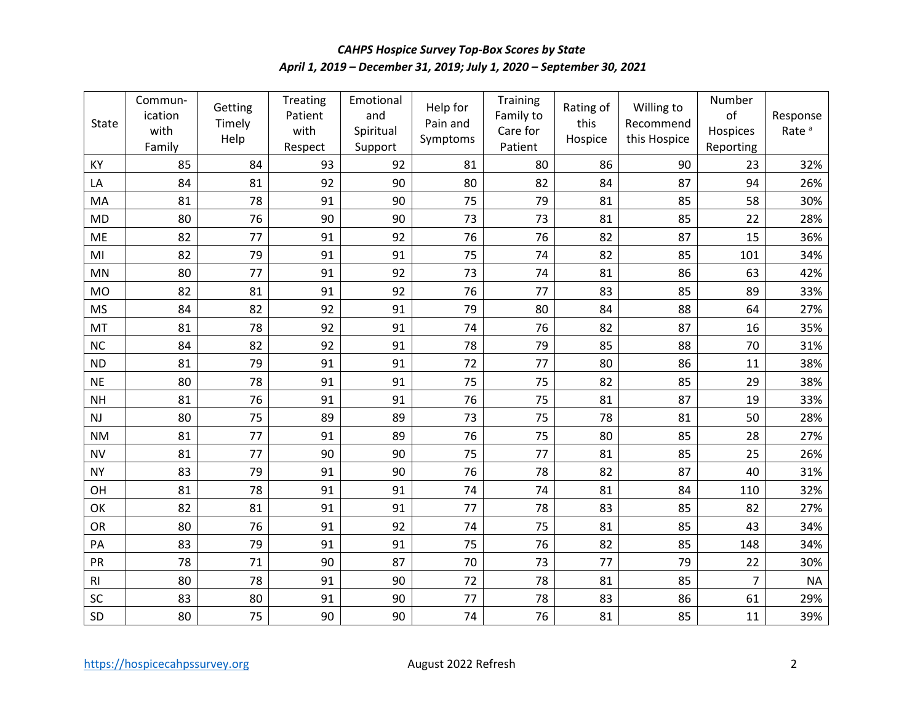## *April 1, 2019 – December 31, 2019; July 1, 2020 – September 30, 2021 CAHPS Hospice Survey Top-Box Scores by State*

| <b>State</b>   | Commun-<br>ication<br>with<br>Family | Getting<br>Timely<br>Help | Treating<br>Patient<br>with<br>Respect | Emotional<br>and<br>Spiritual<br>Support | Help for<br>Pain and<br>Symptoms | Training<br>Family to<br>Care for<br>Patient | Rating of<br>this<br>Hospice | Willing to<br>Recommend<br>this Hospice | Number<br>of<br>Hospices<br>Reporting | Response<br>Rate <sup>a</sup> |
|----------------|--------------------------------------|---------------------------|----------------------------------------|------------------------------------------|----------------------------------|----------------------------------------------|------------------------------|-----------------------------------------|---------------------------------------|-------------------------------|
| KY             | 85                                   | 84                        | 93                                     | 92                                       | 81                               | 80                                           | 86                           | 90                                      | 23                                    | 32%                           |
| LA             | 84                                   | 81                        | 92                                     | 90                                       | 80                               | 82                                           | 84                           | 87                                      | 94                                    | 26%                           |
| MA             | 81                                   | 78                        | 91                                     | 90                                       | 75                               | 79                                           | 81                           | 85                                      | 58                                    | 30%                           |
| <b>MD</b>      | 80                                   | 76                        | 90                                     | 90                                       | 73                               | 73                                           | 81                           | 85                                      | 22                                    | 28%                           |
| ME             | 82                                   | 77                        | 91                                     | 92                                       | 76                               | 76                                           | 82                           | 87                                      | 15                                    | 36%                           |
| MI             | 82                                   | 79                        | 91                                     | 91                                       | 75                               | 74                                           | 82                           | 85                                      | 101                                   | 34%                           |
| <b>MN</b>      | 80                                   | 77                        | 91                                     | 92                                       | 73                               | 74                                           | 81                           | 86                                      | 63                                    | 42%                           |
| <b>MO</b>      | 82                                   | 81                        | 91                                     | 92                                       | 76                               | 77                                           | 83                           | 85                                      | 89                                    | 33%                           |
| <b>MS</b>      | 84                                   | 82                        | 92                                     | 91                                       | 79                               | 80                                           | 84                           | 88                                      | 64                                    | 27%                           |
| MT             | 81                                   | 78                        | 92                                     | 91                                       | 74                               | 76                                           | 82                           | 87                                      | 16                                    | 35%                           |
| <b>NC</b>      | 84                                   | 82                        | 92                                     | 91                                       | 78                               | 79                                           | 85                           | 88                                      | 70                                    | 31%                           |
| <b>ND</b>      | 81                                   | 79                        | 91                                     | 91                                       | 72                               | 77                                           | 80                           | 86                                      | 11                                    | 38%                           |
| <b>NE</b>      | 80                                   | 78                        | 91                                     | 91                                       | 75                               | 75                                           | 82                           | 85                                      | 29                                    | 38%                           |
| <b>NH</b>      | 81                                   | 76                        | 91                                     | 91                                       | 76                               | 75                                           | 81                           | 87                                      | 19                                    | 33%                           |
| NJ             | 80                                   | 75                        | 89                                     | 89                                       | 73                               | 75                                           | 78                           | 81                                      | 50                                    | 28%                           |
| <b>NM</b>      | 81                                   | 77                        | 91                                     | 89                                       | 76                               | 75                                           | 80                           | 85                                      | 28                                    | 27%                           |
| <b>NV</b>      | 81                                   | 77                        | 90                                     | 90                                       | 75                               | 77                                           | 81                           | 85                                      | 25                                    | 26%                           |
| <b>NY</b>      | 83                                   | 79                        | 91                                     | 90                                       | 76                               | 78                                           | 82                           | 87                                      | 40                                    | 31%                           |
| OH             | 81                                   | 78                        | 91                                     | 91                                       | 74                               | 74                                           | 81                           | 84                                      | 110                                   | 32%                           |
| OK             | 82                                   | 81                        | 91                                     | 91                                       | 77                               | 78                                           | 83                           | 85                                      | 82                                    | 27%                           |
| OR             | 80                                   | 76                        | 91                                     | 92                                       | 74                               | 75                                           | 81                           | 85                                      | 43                                    | 34%                           |
| PA             | 83                                   | 79                        | 91                                     | 91                                       | 75                               | 76                                           | 82                           | 85                                      | 148                                   | 34%                           |
| PR             | 78                                   | 71                        | 90                                     | 87                                       | 70                               | 73                                           | 77                           | 79                                      | 22                                    | 30%                           |
| R <sub>l</sub> | 80                                   | 78                        | 91                                     | 90                                       | 72                               | 78                                           | 81                           | 85                                      | $\overline{7}$                        | <b>NA</b>                     |
| SC             | 83                                   | 80                        | 91                                     | 90                                       | 77                               | 78                                           | 83                           | 86                                      | 61                                    | 29%                           |
| SD             | 80                                   | 75                        | 90                                     | 90                                       | 74                               | 76                                           | 81                           | 85                                      | 11                                    | 39%                           |